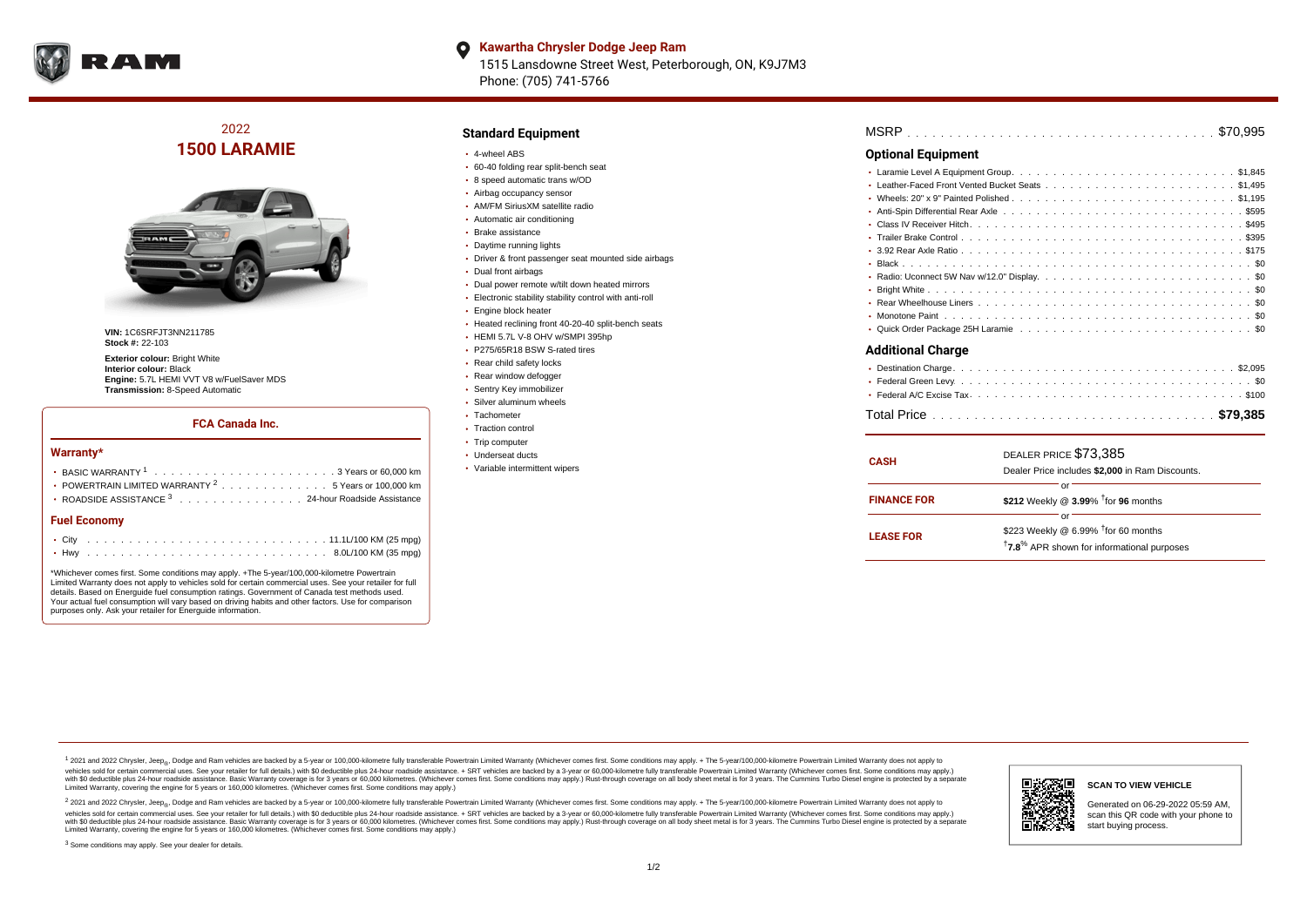

#### **Kawartha Chrysler Dodge Jeep Ram**  $\bullet$ 1515 Lansdowne Street West, Peterborough, ON, K9J7M3 Phone: (705) 741-5766

# 2022 **1500 LARAMIE**



**VIN:** 1C6SRFJT3NN211785 **Stock #:** 22-103

**Exterior colour: Bright White Interior colour:** Black **Engine:** 5.7L HEMI VVT V8 w/FuelSaver MDS **Transmission:** 8-Speed Automatic

## **FCA Canada Inc.**

#### **Warranty\***

| <b>Fuel Economy</b>                                                                              |  |  |  |  |  |  |  |
|--------------------------------------------------------------------------------------------------|--|--|--|--|--|--|--|
| ROADSIDE ASSISTANCE 3 24-hour Roadside Assistance                                                |  |  |  |  |  |  |  |
| • POWERTRAIN LIMITED WARRANTY <sup>2</sup> 5 Years or 100,000 km                                 |  |  |  |  |  |  |  |
| BASIC WARRANTY $1, \ldots, \ldots, \ldots, \ldots, \ldots, \ldots, \ldots, 3$ Years or 60.000 km |  |  |  |  |  |  |  |
|                                                                                                  |  |  |  |  |  |  |  |

\*Whichever comes first. Some conditions may apply. +The 5-year/100,000-kilometre Powertrain Limited Warranty does not apply to vehicles sold for certain commercial uses. See your retailer for full details. Based on Energuide fuel consumption ratings. Government of Canada test methods used. Your actual fuel consumption will vary based on driving habits and other factors. Use for comparison purposes only. Ask your retailer for Energuide information.

. . . . . . . . . . . . . . . . . . . . . . . . . . . . . . . . . . . . . . . . . . . Hwy 8.0L/100 KM (35 mpg)

# **Standard Equipment**

- 4-wheel ABS
- 60-40 folding rear split-bench seat
- 8 speed automatic trans w/OD
- Airbag occupancy sensor AM/FM SiriusXM satellite radio
- Automatic air conditioning
- Brake assistance
- Daytime running lights
- Driver & front passenger seat mounted side airbags
- Dual front airbags
- Dual power remote w/tilt down heated mirrors
- Electronic stability stability control with anti-roll
- Engine block heater
- Heated reclining front 40-20-40 split-bench seats
- HEMI 5.7L V-8 OHV w/SMPI 395hp
- P275/65R18 BSW S-rated tires
- Rear child safety locks
- Rear window defogger
- Sentry Key immobilizer
- Silver aluminum wheels
- Tachometer
- Traction control
- Trip computer
- Underseat ducts
- Variable intermittent wipers

| <b>MSRP</b> |  |  |  |  |  |  |  |  |  |  |  |  |  |  |  |  |  |  |  |  |  |  |  |  |  |  |  |  |  |  |  |  |  |  |  |  |  |  |
|-------------|--|--|--|--|--|--|--|--|--|--|--|--|--|--|--|--|--|--|--|--|--|--|--|--|--|--|--|--|--|--|--|--|--|--|--|--|--|--|
|-------------|--|--|--|--|--|--|--|--|--|--|--|--|--|--|--|--|--|--|--|--|--|--|--|--|--|--|--|--|--|--|--|--|--|--|--|--|--|--|

## **Optional Equipment**

| Additional Charge |
|-------------------|

| <b>CASH</b>        | DEALER PRICE \$73,385<br>Dealer Price includes \$2,000 in Ram Discounts.                                                      |  |  |  |  |  |  |  |  |
|--------------------|-------------------------------------------------------------------------------------------------------------------------------|--|--|--|--|--|--|--|--|
| <b>FINANCE FOR</b> | റ്റ്<br>\$212 Weekly @ $3.99\%$ <sup>†</sup> for 96 months                                                                    |  |  |  |  |  |  |  |  |
| <b>LEASE FOR</b>   | റ്റ്<br>\$223 Weekly @ 6.99% <sup>†</sup> for 60 months<br><sup>†</sup> 7.8 <sup>%</sup> APR shown for informational purposes |  |  |  |  |  |  |  |  |

<sup>1</sup> 2021 and 2022 Chrysler, Jeep<sub>®</sub>, Dodge and Ram vehicles are backed by a 5-year or 100,000-kilometre fully transferable Powertrain Limited Warranty (Whichever comes first. Some conditions may apply. + The 5-year/100,000 vehicles sold for certain commercial uses. See your retailer for full details.) with \$0 deductible plus 24 hour roadside assistance. + SRT vehicles are backed by a 3-year or 60,000-kilometre fully transferable Powertrain L versus and contract the mean of the contract of the contract with a contract with a contract the contract of the contract of the contract the contract of the contract of the contract of the contract of the contract of the Limited Warranty, covering the engine for 5 years or 160,000 kilometres. (Whichever comes first. Some conditions may apply.)

2 2021 and 2022 Chrysler, Jeep<sub>®</sub>, Dodge and Ram vehicles are backed by a 5-year or 100,000-kilometre fully transferable Powertrain Limited Warranty (Whichever comes first. Some conditions may apply. + The 5-year/100,000-k vehicles sold for certain commercial uses. See your retailer for full details.) with SO deductible plus 24-hour roadside assistance. + SRT vehicles are backed by a 3-year or 60.000-kilometre fully transferable Powertrain L with S0 deductible plus 24-hour roadside assistance. Basic Warranty coverage is for 3 years or 60,000 kilometres. (Whichever comes first. Some conditions may apply.) Rust-through coverage on all body sheet metal is for 3 y



### **SCAN TO VIEW VEHICLE**

Generated on 06-29-2022 05:59 AM, scan this QR code with your phone to start buying process.

<sup>3</sup> Some conditions may apply. See your dealer for details.